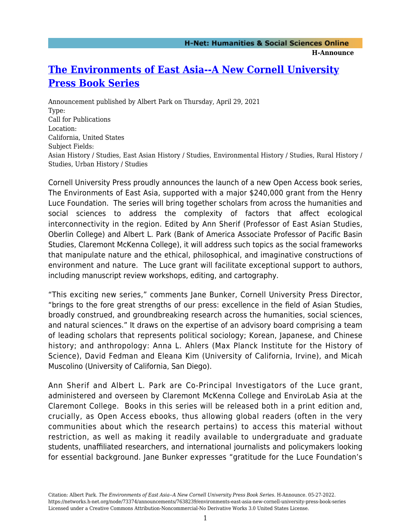## **[The Environments of East Asia--A New Cornell University](https://networks.h-net.org/node/73374/announcements/7638239/environments-east-asia-new-cornell-university-press-book-series) [Press Book Series](https://networks.h-net.org/node/73374/announcements/7638239/environments-east-asia-new-cornell-university-press-book-series)**

Announcement published by Albert Park on Thursday, April 29, 2021 Type: Call for Publications Location: California, United States Subject Fields: Asian History / Studies, East Asian History / Studies, Environmental History / Studies, Rural History / Studies, Urban History / Studies

Cornell University Press proudly announces the launch of a new Open Access book series, The Environments of East Asia, supported with a major \$240,000 grant from the Henry Luce Foundation. The series will bring together scholars from across the humanities and social sciences to address the complexity of factors that affect ecological interconnectivity in the region. Edited by Ann Sherif (Professor of East Asian Studies, Oberlin College) and Albert L. Park (Bank of America Associate Professor of Pacific Basin Studies, Claremont McKenna College), it will address such topics as the social frameworks that manipulate nature and the ethical, philosophical, and imaginative constructions of environment and nature. The Luce grant will facilitate exceptional support to authors, including manuscript review workshops, editing, and cartography.

"This exciting new series," comments Jane Bunker, Cornell University Press Director, "brings to the fore great strengths of our press: excellence in the field of Asian Studies, broadly construed, and groundbreaking research across the humanities, social sciences, and natural sciences." It draws on the expertise of an advisory board comprising a team of leading scholars that represents political sociology; Korean, Japanese, and Chinese history; and anthropology: Anna L. Ahlers (Max Planck Institute for the History of Science), David Fedman and Eleana Kim (University of California, Irvine), and Micah Muscolino (University of California, San Diego).

Ann Sherif and Albert L. Park are Co-Principal Investigators of the Luce grant, administered and overseen by Claremont McKenna College and EnviroLab Asia at the Claremont College. Books in this series will be released both in a print edition and, crucially, as Open Access ebooks, thus allowing global readers (often in the very communities about which the research pertains) to access this material without restriction, as well as making it readily available to undergraduate and graduate students, unaffiliated researchers, and international journalists and policymakers looking for essential background. Jane Bunker expresses "gratitude for the Luce Foundation's